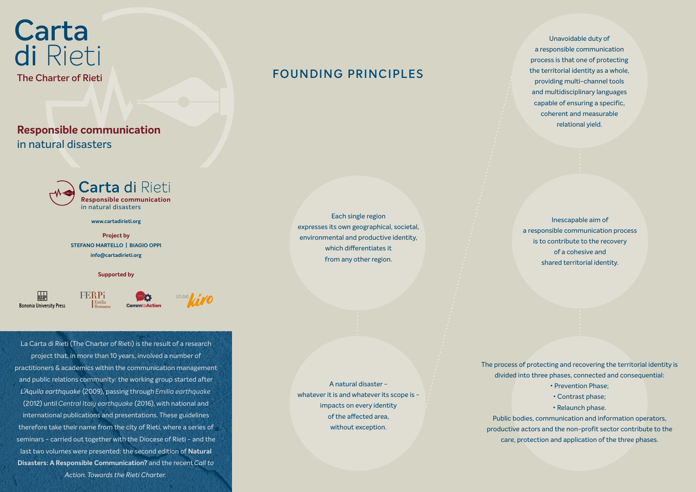

A natural disaster whatever it is and whatever its scope is impacts on every identity of the affected area, without exception.

Unavoidable duty of a responsible communication process is that one of protecting the territorial identity as a whole, providing multi-channel tools and multidisciplinary languages capable of ensuring a specific, coherent and measurable relational yield.

Each single region expresses its own geographical, societal, environmental and productive identity, which differentiates it from any other region.

## **FOUNDING PRINCIPLES**

Inescapable aim of a responsible communication process is to contribute to the recovery of a cohesive and shared territorial identity.

The process of protecting and recovering the territorial identity is divided into three phases, connected and consequential:

- Prevention Phase;
- Contrast phase;
- Relaunch phase.

Public bodies, communication and information operators, productive actors and the non-profit sector contribute to the care, protection and application of the three phases.

**www.cartadirieti.org**

**Project by STEFANO MARTELLO | BIAGIO OPPI info@cartadirieti.org**

**Supported by**

 $B$ <sub>U</sub>P **Bononia University Press** 





La Carta di Rieti (The Charter of Rieti) is the result of a research project that, in more than 10 years, involved a number of practitioners & academics within the communication management and public relations community: the working group started after *L'Aquila earthquake* (2009), passing through *Emilia earthquake* (2012) until *Central Italy earthquake* (2016), with national and international publications and presentations. These guidelines therefore take their name from the city of Rieti, where a series of seminars - carried out together with the Diocese of Rieti - and the last two volumes were presented: the second edition of **Natural Disasters: A Responsible Communication?** and the recent *Call to Action. Towards the Rieti Charter.*

## **Carta** di Rieti **The Charter of Rieti**

**Responsible communication** in natural disasters